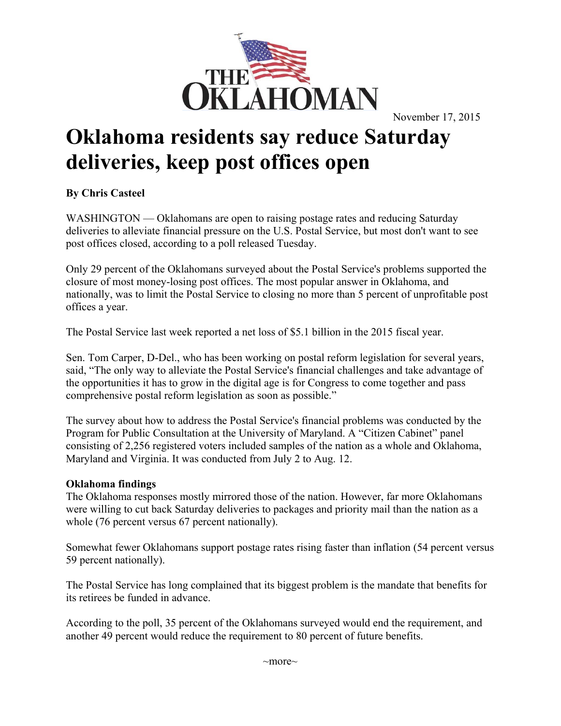

## **Oklahoma residents say reduce Saturday deliveries, keep post offices open**

## **By Chris Casteel**

WASHINGTON — Oklahomans are open to raising postage rates and reducing Saturday deliveries to alleviate financial pressure on the U.S. Postal Service, but most don't want to see post offices closed, according to a poll released Tuesday.

Only 29 percent of the Oklahomans surveyed about the Postal Service's problems supported the closure of most money-losing post offices. The most popular answer in Oklahoma, and nationally, was to limit the Postal Service to closing no more than 5 percent of unprofitable post offices a year.

The Postal Service last week reported a net loss of \$5.1 billion in the 2015 fiscal year.

Sen. Tom Carper, D-Del., who has been working on postal reform legislation for several years, said, "The only way to alleviate the Postal Service's financial challenges and take advantage of the opportunities it has to grow in the digital age is for Congress to come together and pass comprehensive postal reform legislation as soon as possible."

The survey about how to address the Postal Service's financial problems was conducted by the Program for Public Consultation at the University of Maryland. A "Citizen Cabinet" panel consisting of 2,256 registered voters included samples of the nation as a whole and Oklahoma, Maryland and Virginia. It was conducted from July 2 to Aug. 12.

## **Oklahoma findings**

The Oklahoma responses mostly mirrored those of the nation. However, far more Oklahomans were willing to cut back Saturday deliveries to packages and priority mail than the nation as a whole (76 percent versus 67 percent nationally).

Somewhat fewer Oklahomans support postage rates rising faster than inflation (54 percent versus 59 percent nationally).

The Postal Service has long complained that its biggest problem is the mandate that benefits for its retirees be funded in advance.

According to the poll, 35 percent of the Oklahomans surveyed would end the requirement, and another 49 percent would reduce the requirement to 80 percent of future benefits.

~more~